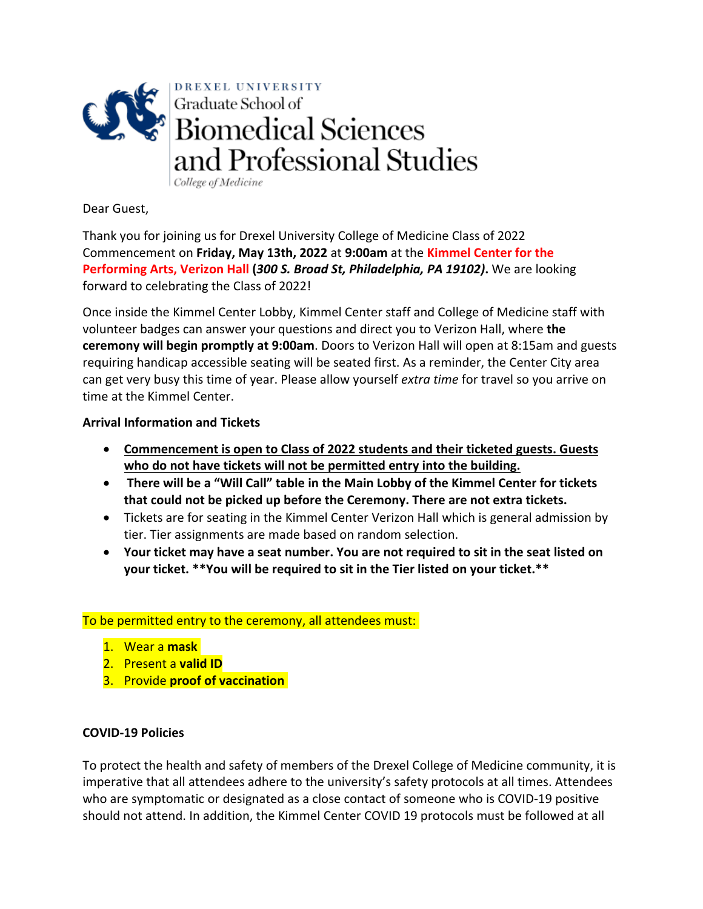

College of Medicine

Dear Guest,

Thank you for joining us for Drexel University College of Medicine Class of 2022 Commencement on **Friday, May 13th, 2022** at **9:00am** at the **Kimmel Center for the Performing Arts, Verizon Hall (***300 S. Broad St, Philadelphia, PA 19102)***.** We are looking forward to celebrating the Class of 2022!

Once inside the Kimmel Center Lobby, Kimmel Center staff and College of Medicine staff with volunteer badges can answer your questions and direct you to Verizon Hall, where **the ceremony will begin promptly at 9:00am**. Doors to Verizon Hall will open at 8:15am and guests requiring handicap accessible seating will be seated first. As a reminder, the Center City area can get very busy this time of year. Please allow yourself *extra time* for travel so you arrive on time at the Kimmel Center.

# **Arrival Information and Tickets**

- **Commencement is open to Class of 2022 students and their ticketed guests. Guests who do not have tickets will not be permitted entry into the building.**
- **There will be a "Will Call" table in the Main Lobby of the Kimmel Center for tickets that could not be picked up before the Ceremony. There are not extra tickets.**
- Tickets are for seating in the Kimmel Center Verizon Hall which is general admission by tier. Tier assignments are made based on random selection.
- **Your ticket may have a seat number. You are not required to sit in the seat listed on your ticket. \*\*You will be required to sit in the Tier listed on your ticket.\*\***

## To be permitted entry to the ceremony, all attendees must:

- 1. Wear a **mask**
- 2. Present a **valid ID**
- 3. Provide **proof of vaccination**

## **COVID-19 Policies**

To protect the health and safety of members of the Drexel College of Medicine community, it is imperative that all attendees adhere to the university's safety protocols at all times. Attendees who are symptomatic or designated as a close contact of someone who is COVID-19 positive should not attend. In addition, the Kimmel Center COVID 19 protocols must be followed at all